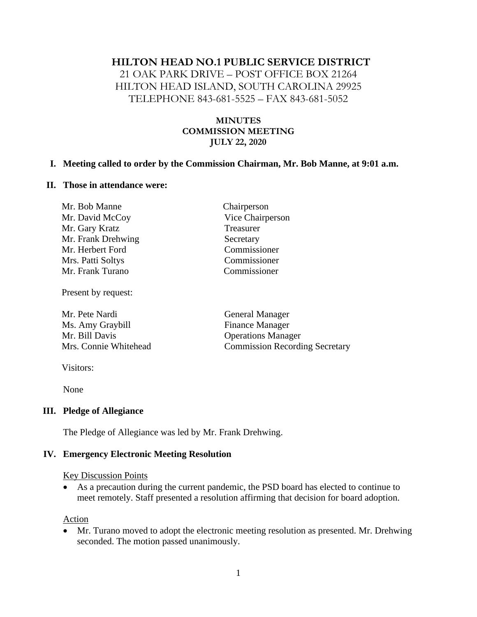### **HILTON HEAD NO.1 PUBLIC SERVICE DISTRICT**

21 OAK PARK DRIVE – POST OFFICE BOX 21264 HILTON HEAD ISLAND, SOUTH CAROLINA 29925 TELEPHONE 843-681-5525 – FAX 843-681-5052

### **MINUTES COMMISSION MEETING JULY 22, 2020**

#### **I. Meeting called to order by the Commission Chairman, Mr. Bob Manne, at 9:01 a.m.**

### **II. Those in attendance were:**

| Mr. Bob Manne      | Chairperson      |
|--------------------|------------------|
| Mr. David McCoy    | Vice Chairperson |
| Mr. Gary Kratz     | Treasurer        |
| Mr. Frank Drehwing | Secretary        |
| Mr. Herbert Ford   | Commissioner     |
| Mrs. Patti Soltys  | Commissioner     |
| Mr. Frank Turano   | Commissioner     |

Present by request:

Mr. Pete Nardi General Manager Ms. Amy Graybill Finance Manager Mr. Bill Davis Operations Manager

Mrs. Connie Whitehead Commission Recording Secretary

Visitors:

None

### **III. Pledge of Allegiance**

The Pledge of Allegiance was led by Mr. Frank Drehwing.

### **IV. Emergency Electronic Meeting Resolution**

#### Key Discussion Points

• As a precaution during the current pandemic, the PSD board has elected to continue to meet remotely. Staff presented a resolution affirming that decision for board adoption.

#### Action

• Mr. Turano moved to adopt the electronic meeting resolution as presented. Mr. Drehwing seconded. The motion passed unanimously.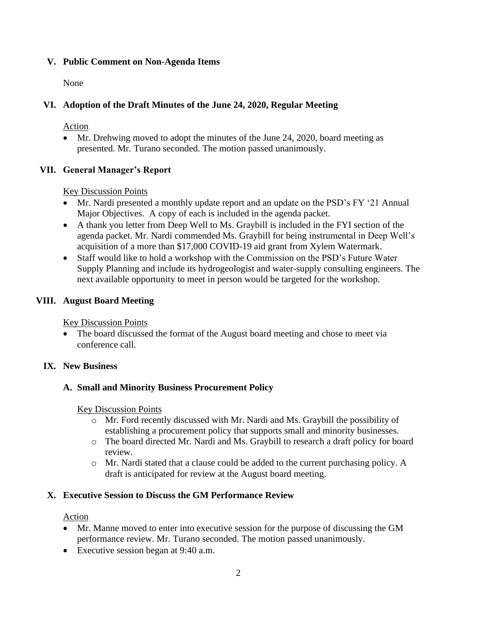## **V. Public Comment on Non-Agenda Items**

None

## **VI. Adoption of the Draft Minutes of the June 24, 2020, Regular Meeting**

Action

• Mr. Drehwing moved to adopt the minutes of the June 24, 2020, board meeting as presented. Mr. Turano seconded. The motion passed unanimously.

## **VII. General Manager's Report**

Key Discussion Points

- Mr. Nardi presented a monthly update report and an update on the PSD's FY '21 Annual Major Objectives. A copy of each is included in the agenda packet.
- A thank you letter from Deep Well to Ms. Graybill is included in the FYI section of the agenda packet. Mr. Nardi commended Ms. Graybill for being instrumental in Deep Well's acquisition of a more than \$17,000 COVID-19 aid grant from Xylem Watermark.
- Staff would like to hold a workshop with the Commission on the PSD's Future Water Supply Planning and include its hydrogeologist and water-supply consulting engineers. The next available opportunity to meet in person would be targeted for the workshop.

## **VIII. August Board Meeting**

Key Discussion Points

• The board discussed the format of the August board meeting and chose to meet via conference call.

## **IX. New Business**

## **A. Small and Minority Business Procurement Policy**

Key Discussion Points

- o Mr. Ford recently discussed with Mr. Nardi and Ms. Graybill the possibility of establishing a procurement policy that supports small and minority businesses.
- o The board directed Mr. Nardi and Ms. Graybill to research a draft policy for board review.
- o Mr. Nardi stated that a clause could be added to the current purchasing policy. A draft is anticipated for review at the August board meeting.

## **X. Executive Session to Discuss the GM Performance Review**

Action

- Mr. Manne moved to enter into executive session for the purpose of discussing the GM performance review. Mr. Turano seconded. The motion passed unanimously.
- Executive session began at 9:40 a.m.